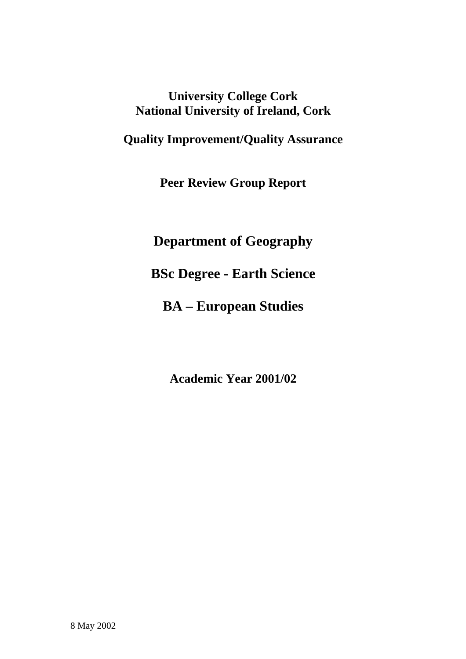# **University College Cork National University of Ireland, Cork**

**Quality Improvement/Quality Assurance** 

**Peer Review Group Report** 

**Department of Geography** 

**BSc Degree - Earth Science** 

**BA – European Studies** 

**Academic Year 2001/02**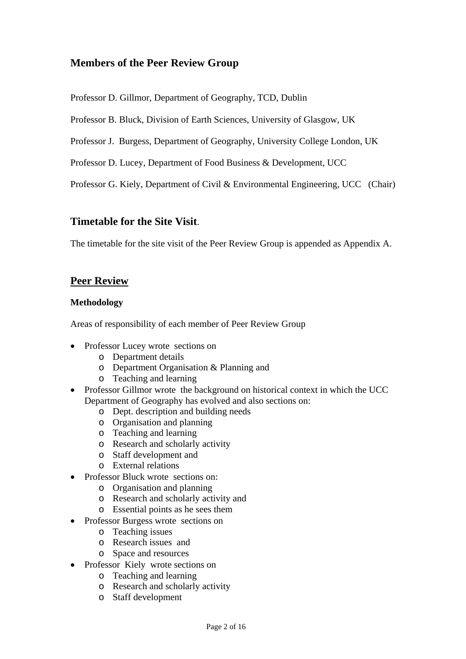## **Members of the Peer Review Group**

Professor D. Gillmor, Department of Geography, TCD, Dublin

Professor B. Bluck, Division of Earth Sciences, University of Glasgow, UK

Professor J. Burgess, Department of Geography, University College London, UK

Professor D. Lucey, Department of Food Business & Development, UCC

Professor G. Kiely, Department of Civil & Environmental Engineering, UCC (Chair)

## **Timetable for the Site Visit**.

The timetable for the site visit of the Peer Review Group is appended as Appendix A.

## **Peer Review**

#### **Methodology**

Areas of responsibility of each member of Peer Review Group

- Professor Lucey wrote sections on
	- o Department details
	- o Department Organisation & Planning and
	- o Teaching and learning
- Professor Gillmor wrote the background on historical context in which the UCC Department of Geography has evolved and also sections on:
	- o Dept. description and building needs
	- o Organisation and planning
	- o Teaching and learning
	- o Research and scholarly activity
	- o Staff development and
	- o External relations
- Professor Bluck wrote sections on:
	- o Organisation and planning
	- o Research and scholarly activity and
	- o Essential points as he sees them
- Professor Burgess wrote sections on
	- o Teaching issues
	- o Research issues and
	- o Space and resources
- Professor Kiely wrote sections on
	- o Teaching and learning
	- o Research and scholarly activity
	- o Staff development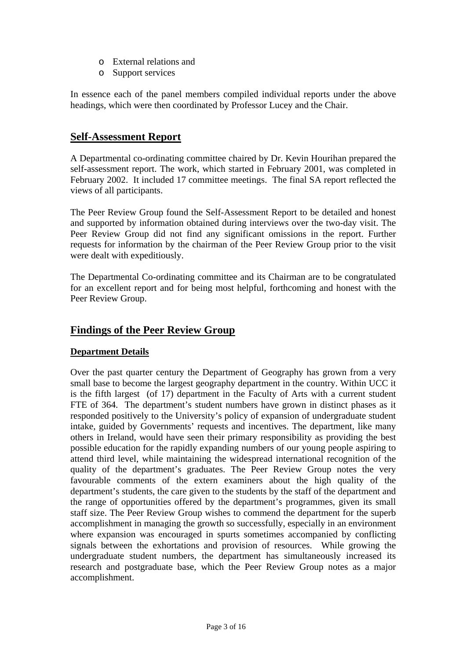- o External relations and
- o Support services

In essence each of the panel members compiled individual reports under the above headings, which were then coordinated by Professor Lucey and the Chair.

## **Self-Assessment Report**

A Departmental co-ordinating committee chaired by Dr. Kevin Hourihan prepared the self-assessment report. The work, which started in February 2001, was completed in February 2002. It included 17 committee meetings. The final SA report reflected the views of all participants.

The Peer Review Group found the Self-Assessment Report to be detailed and honest and supported by information obtained during interviews over the two-day visit. The Peer Review Group did not find any significant omissions in the report. Further requests for information by the chairman of the Peer Review Group prior to the visit were dealt with expeditiously.

The Departmental Co-ordinating committee and its Chairman are to be congratulated for an excellent report and for being most helpful, forthcoming and honest with the Peer Review Group.

## **Findings of the Peer Review Group**

### **Department Details**

Over the past quarter century the Department of Geography has grown from a very small base to become the largest geography department in the country. Within UCC it is the fifth largest (of 17) department in the Faculty of Arts with a current student FTE of 364. The department's student numbers have grown in distinct phases as it responded positively to the University's policy of expansion of undergraduate student intake, guided by Governments' requests and incentives. The department, like many others in Ireland, would have seen their primary responsibility as providing the best possible education for the rapidly expanding numbers of our young people aspiring to attend third level, while maintaining the widespread international recognition of the quality of the department's graduates. The Peer Review Group notes the very favourable comments of the extern examiners about the high quality of the department's students, the care given to the students by the staff of the department and the range of opportunities offered by the department's programmes, given its small staff size. The Peer Review Group wishes to commend the department for the superb accomplishment in managing the growth so successfully, especially in an environment where expansion was encouraged in spurts sometimes accompanied by conflicting signals between the exhortations and provision of resources. While growing the undergraduate student numbers, the department has simultaneously increased its research and postgraduate base, which the Peer Review Group notes as a major accomplishment.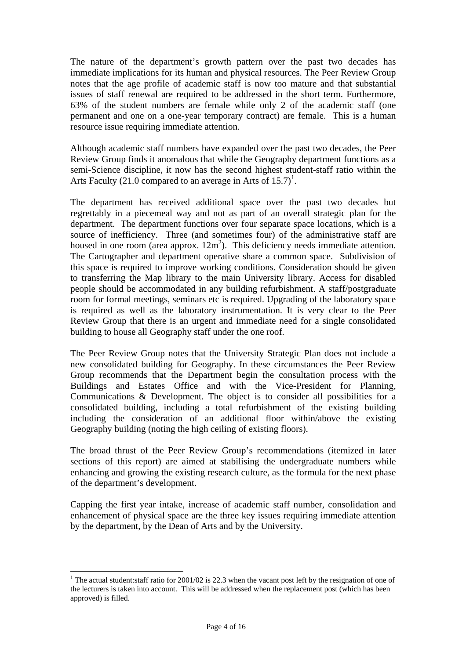The nature of the department's growth pattern over the past two decades has immediate implications for its human and physical resources. The Peer Review Group notes that the age profile of academic staff is now too mature and that substantial issues of staff renewal are required to be addressed in the short term. Furthermore, 63% of the student numbers are female while only 2 of the academic staff (one permanent and one on a one-year temporary contract) are female. This is a human resource issue requiring immediate attention.

Although academic staff numbers have expanded over the past two decades, the Peer Review Group finds it anomalous that while the Geography department functions as a semi-Science discipline, it now has the second highest student-staff ratio within the Arts Faculty (21.0 compared to an average in Arts of  $15.7$ )<sup>1</sup>.

The department has received additional space over the past two decades but regrettably in a piecemeal way and not as part of an overall strategic plan for the department. The department functions over four separate space locations, which is a source of inefficiency. Three (and sometimes four) of the administrative staff are housed in one room (area approx.  $12m^2$ ). This deficiency needs immediate attention. The Cartographer and department operative share a common space. Subdivision of this space is required to improve working conditions. Consideration should be given to transferring the Map library to the main University library. Access for disabled people should be accommodated in any building refurbishment. A staff/postgraduate room for formal meetings, seminars etc is required. Upgrading of the laboratory space is required as well as the laboratory instrumentation. It is very clear to the Peer Review Group that there is an urgent and immediate need for a single consolidated building to house all Geography staff under the one roof.

The Peer Review Group notes that the University Strategic Plan does not include a new consolidated building for Geography. In these circumstances the Peer Review Group recommends that the Department begin the consultation process with the Buildings and Estates Office and with the Vice-President for Planning, Communications & Development. The object is to consider all possibilities for a consolidated building, including a total refurbishment of the existing building including the consideration of an additional floor within/above the existing Geography building (noting the high ceiling of existing floors).

The broad thrust of the Peer Review Group's recommendations (itemized in later sections of this report) are aimed at stabilising the undergraduate numbers while enhancing and growing the existing research culture, as the formula for the next phase of the department's development.

Capping the first year intake, increase of academic staff number, consolidation and enhancement of physical space are the three key issues requiring immediate attention by the department, by the Dean of Arts and by the University.

 $\overline{a}$ 

<sup>&</sup>lt;sup>1</sup> The actual student: staff ratio for 2001/02 is 22.3 when the vacant post left by the resignation of one of the lecturers is taken into account. This will be addressed when the replacement post (which has been approved) is filled.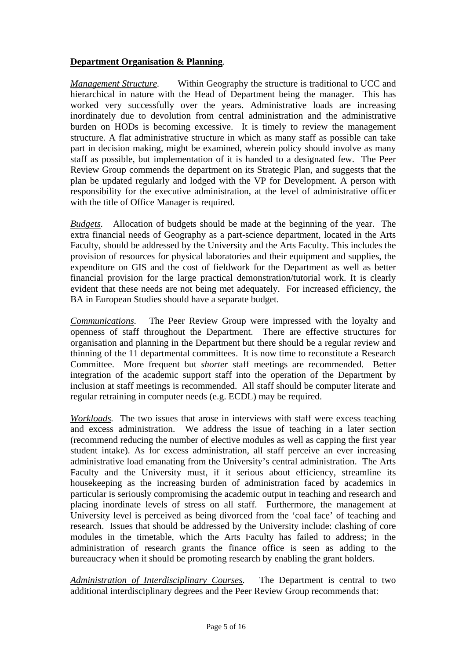### **Department Organisation & Planning**.

*Management Structure.* Within Geography the structure is traditional to UCC and hierarchical in nature with the Head of Department being the manager. This has worked very successfully over the years. Administrative loads are increasing inordinately due to devolution from central administration and the administrative burden on HODs is becoming excessive. It is timely to review the management structure. A flat administrative structure in which as many staff as possible can take part in decision making, might be examined, wherein policy should involve as many staff as possible, but implementation of it is handed to a designated few. The Peer Review Group commends the department on its Strategic Plan, and suggests that the plan be updated regularly and lodged with the VP for Development. A person with responsibility for the executive administration, at the level of administrative officer with the title of Office Manager is required.

*Budgets.* Allocation of budgets should be made at the beginning of the year. The extra financial needs of Geography as a part-science department, located in the Arts Faculty, should be addressed by the University and the Arts Faculty. This includes the provision of resources for physical laboratories and their equipment and supplies, the expenditure on GIS and the cost of fieldwork for the Department as well as better financial provision for the large practical demonstration/tutorial work. It is clearly evident that these needs are not being met adequately. For increased efficiency, the BA in European Studies should have a separate budget.

*Communications.* The Peer Review Group were impressed with the loyalty and openness of staff throughout the Department. There are effective structures for organisation and planning in the Department but there should be a regular review and thinning of the 11 departmental committees. It is now time to reconstitute a Research Committee. More frequent but *shorter* staff meetings are recommended. Better integration of the academic support staff into the operation of the Department by inclusion at staff meetings is recommended. All staff should be computer literate and regular retraining in computer needs (e.g. ECDL) may be required.

*Workloads.* The two issues that arose in interviews with staff were excess teaching and excess administration. We address the issue of teaching in a later section (recommend reducing the number of elective modules as well as capping the first year student intake). As for excess administration, all staff perceive an ever increasing administrative load emanating from the University's central administration. The Arts Faculty and the University must, if it serious about efficiency, streamline its housekeeping as the increasing burden of administration faced by academics in particular is seriously compromising the academic output in teaching and research and placing inordinate levels of stress on all staff. Furthermore, the management at University level is perceived as being divorced from the 'coal face' of teaching and research. Issues that should be addressed by the University include: clashing of core modules in the timetable, which the Arts Faculty has failed to address; in the administration of research grants the finance office is seen as adding to the bureaucracy when it should be promoting research by enabling the grant holders.

*Administration of Interdisciplinary Courses.* The Department is central to two additional interdisciplinary degrees and the Peer Review Group recommends that: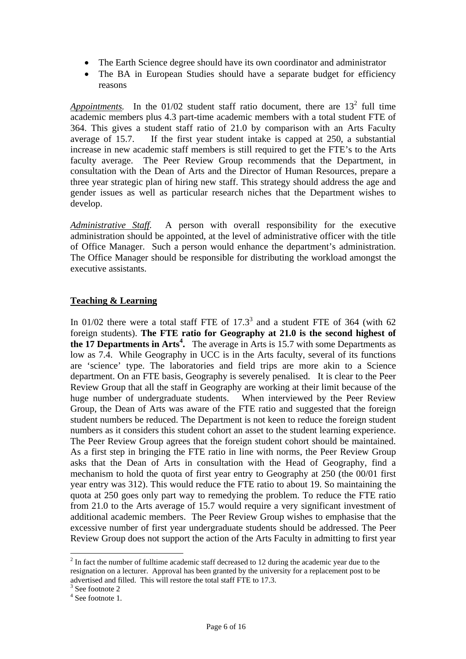- The Earth Science degree should have its own coordinator and administrator
- The BA in European Studies should have a separate budget for efficiency reasons

*Appointments*. In the  $01/02$  student staff ratio document, there are  $13<sup>2</sup>$  full time academic members plus 4.3 part-time academic members with a total student FTE of 364. This gives a student staff ratio of 21.0 by comparison with an Arts Faculty average of 15.7. If the first year student intake is capped at 250, a substantial increase in new academic staff members is still required to get the FTE's to the Arts faculty average. The Peer Review Group recommends that the Department, in consultation with the Dean of Arts and the Director of Human Resources, prepare a three year strategic plan of hiring new staff. This strategy should address the age and gender issues as well as particular research niches that the Department wishes to develop.

*Administrative Staff.* A person with overall responsibility for the executive administration should be appointed, at the level of administrative officer with the title of Office Manager. Such a person would enhance the department's administration. The Office Manager should be responsible for distributing the workload amongst the executive assistants.

### **Teaching & Learning**

In 01/02 there were a total staff FTE of  $17.3<sup>3</sup>$  and a student FTE of 364 (with 62 foreign students). **The FTE ratio for Geography at 21.0 is the second highest of the 17 Departments in Arts<sup>4</sup> .** The average in Arts is 15.7 with some Departments as low as 7.4. While Geography in UCC is in the Arts faculty, several of its functions are 'science' type. The laboratories and field trips are more akin to a Science department. On an FTE basis, Geography is severely penalised. It is clear to the Peer Review Group that all the staff in Geography are working at their limit because of the huge number of undergraduate students. When interviewed by the Peer Review Group, the Dean of Arts was aware of the FTE ratio and suggested that the foreign student numbers be reduced. The Department is not keen to reduce the foreign student numbers as it considers this student cohort an asset to the student learning experience. The Peer Review Group agrees that the foreign student cohort should be maintained. As a first step in bringing the FTE ratio in line with norms, the Peer Review Group asks that the Dean of Arts in consultation with the Head of Geography, find a mechanism to hold the quota of first year entry to Geography at 250 (the 00/01 first year entry was 312). This would reduce the FTE ratio to about 19. So maintaining the quota at 250 goes only part way to remedying the problem. To reduce the FTE ratio from 21.0 to the Arts average of 15.7 would require a very significant investment of additional academic members. The Peer Review Group wishes to emphasise that the excessive number of first year undergraduate students should be addressed. The Peer Review Group does not support the action of the Arts Faculty in admitting to first year

 $\overline{a}$ 

 $2 \text{ In fact the number of full time academic staff decreased to 12 during the academic year due to the$ resignation on a lecturer. Approval has been granted by the university for a replacement post to be advertised and filled. This will restore the total staff FTE to 17.3.

<sup>&</sup>lt;sup>3</sup> See footnote 2

<sup>4</sup> See footnote 1.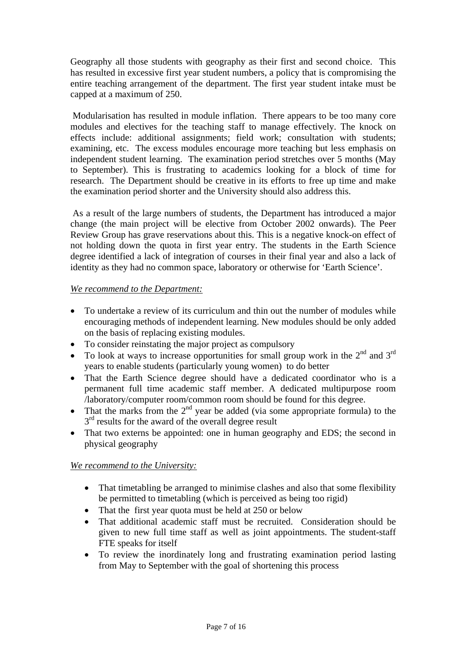Geography all those students with geography as their first and second choice. This has resulted in excessive first year student numbers, a policy that is compromising the entire teaching arrangement of the department. The first year student intake must be capped at a maximum of 250.

 Modularisation has resulted in module inflation. There appears to be too many core modules and electives for the teaching staff to manage effectively. The knock on effects include: additional assignments; field work; consultation with students; examining, etc. The excess modules encourage more teaching but less emphasis on independent student learning. The examination period stretches over 5 months (May to September). This is frustrating to academics looking for a block of time for research. The Department should be creative in its efforts to free up time and make the examination period shorter and the University should also address this.

 As a result of the large numbers of students, the Department has introduced a major change (the main project will be elective from October 2002 onwards). The Peer Review Group has grave reservations about this. This is a negative knock-on effect of not holding down the quota in first year entry. The students in the Earth Science degree identified a lack of integration of courses in their final year and also a lack of identity as they had no common space, laboratory or otherwise for 'Earth Science'.

### *We recommend to the Department:*

- To undertake a review of its curriculum and thin out the number of modules while encouraging methods of independent learning. New modules should be only added on the basis of replacing existing modules.
- To consider reinstating the major project as compulsory
- To look at ways to increase opportunities for small group work in the  $2^{nd}$  and  $3^{rd}$ years to enable students (particularly young women) to do better
- That the Earth Science degree should have a dedicated coordinator who is a permanent full time academic staff member. A dedicated multipurpose room /laboratory/computer room/common room should be found for this degree.
- That the marks from the  $2<sup>nd</sup>$  year be added (via some appropriate formula) to the  $3<sup>rd</sup>$  results for the award of the overall degree result
- That two externs be appointed: one in human geography and EDS; the second in physical geography

### *We recommend to the University:*

- That timetabling be arranged to minimise clashes and also that some flexibility be permitted to timetabling (which is perceived as being too rigid)
- That the first year quota must be held at 250 or below
- That additional academic staff must be recruited. Consideration should be given to new full time staff as well as joint appointments. The student-staff FTE speaks for itself
- To review the inordinately long and frustrating examination period lasting from May to September with the goal of shortening this process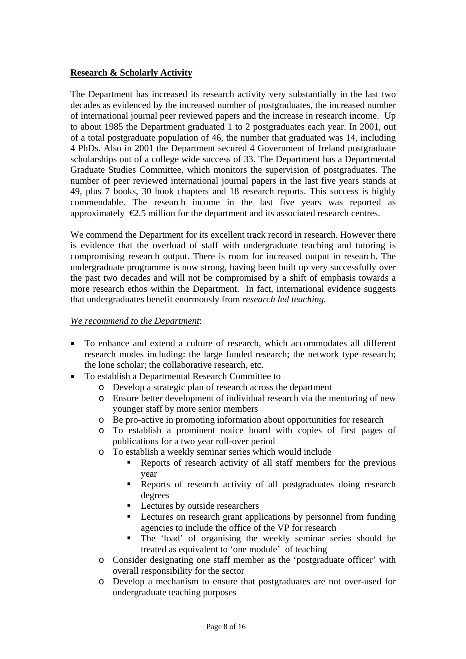#### **Research & Scholarly Activity**

The Department has increased its research activity very substantially in the last two decades as evidenced by the increased number of postgraduates, the increased number of international journal peer reviewed papers and the increase in research income. Up to about 1985 the Department graduated 1 to 2 postgraduates each year. In 2001, out of a total postgraduate population of 46, the number that graduated was 14, including 4 PhDs. Also in 2001 the Department secured 4 Government of Ireland postgraduate scholarships out of a college wide success of 33. The Department has a Departmental Graduate Studies Committee, which monitors the supervision of postgraduates. The number of peer reviewed international journal papers in the last five years stands at 49, plus 7 books, 30 book chapters and 18 research reports. This success is highly commendable. The research income in the last five years was reported as approximately  $\epsilon$ 2.5 million for the department and its associated research centres.

We commend the Department for its excellent track record in research. However there is evidence that the overload of staff with undergraduate teaching and tutoring is compromising research output. There is room for increased output in research. The undergraduate programme is now strong, having been built up very successfully over the past two decades and will not be compromised by a shift of emphasis towards a more research ethos within the Department. In fact, international evidence suggests that undergraduates benefit enormously from *research led teaching.* 

#### *We recommend to the Department*:

- To enhance and extend a culture of research, which accommodates all different research modes including: the large funded research; the network type research; the lone scholar; the collaborative research, etc.
- To establish a Departmental Research Committee to
	- o Develop a strategic plan of research across the department
	- o Ensure better development of individual research via the mentoring of new younger staff by more senior members
	- o Be pro-active in promoting information about opportunities for research
	- o To establish a prominent notice board with copies of first pages of publications for a two year roll-over period
	- o To establish a weekly seminar series which would include
		- Reports of research activity of all staff members for the previous year
		- Reports of research activity of all postgraduates doing research degrees
		- **Lectures by outside researchers**
		- **EXECUTE:** Lectures on research grant applications by personnel from funding agencies to include the office of the VP for research
		- The 'load' of organising the weekly seminar series should be treated as equivalent to 'one module' of teaching
	- o Consider designating one staff member as the 'postgraduate officer' with overall responsibility for the sector
	- o Develop a mechanism to ensure that postgraduates are not over-used for undergraduate teaching purposes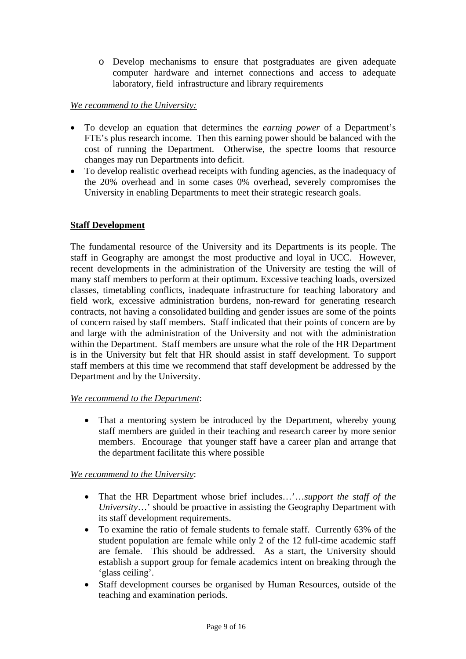o Develop mechanisms to ensure that postgraduates are given adequate computer hardware and internet connections and access to adequate laboratory, field infrastructure and library requirements

#### *We recommend to the University:*

- To develop an equation that determines the *earning power* of a Department's FTE's plus research income. Then this earning power should be balanced with the cost of running the Department. Otherwise, the spectre looms that resource changes may run Departments into deficit.
- To develop realistic overhead receipts with funding agencies, as the inadequacy of the 20% overhead and in some cases 0% overhead, severely compromises the University in enabling Departments to meet their strategic research goals.

### **Staff Development**

The fundamental resource of the University and its Departments is its people. The staff in Geography are amongst the most productive and loyal in UCC. However, recent developments in the administration of the University are testing the will of many staff members to perform at their optimum. Excessive teaching loads, oversized classes, timetabling conflicts, inadequate infrastructure for teaching laboratory and field work, excessive administration burdens, non-reward for generating research contracts, not having a consolidated building and gender issues are some of the points of concern raised by staff members. Staff indicated that their points of concern are by and large with the administration of the University and not with the administration within the Department. Staff members are unsure what the role of the HR Department is in the University but felt that HR should assist in staff development. To support staff members at this time we recommend that staff development be addressed by the Department and by the University.

#### *We recommend to the Department*:

• That a mentoring system be introduced by the Department, whereby young staff members are guided in their teaching and research career by more senior members. Encourage that younger staff have a career plan and arrange that the department facilitate this where possible

#### *We recommend to the University*:

- That the HR Department whose brief includes…'…*support the staff of the University*…' should be proactive in assisting the Geography Department with its staff development requirements.
- To examine the ratio of female students to female staff. Currently 63% of the student population are female while only 2 of the 12 full-time academic staff are female. This should be addressed. As a start, the University should establish a support group for female academics intent on breaking through the 'glass ceiling'.
- Staff development courses be organised by Human Resources, outside of the teaching and examination periods.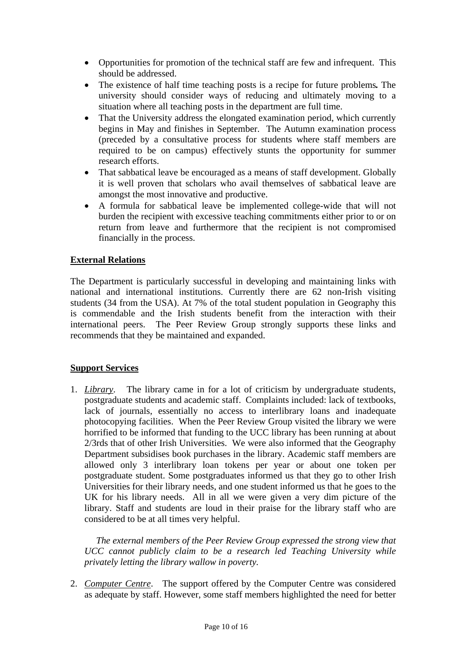- Opportunities for promotion of the technical staff are few and infrequent. This should be addressed.
- The existence of half time teaching posts is a recipe for future problems*.* The university should consider ways of reducing and ultimately moving to a situation where all teaching posts in the department are full time.
- That the University address the elongated examination period, which currently begins in May and finishes in September. The Autumn examination process (preceded by a consultative process for students where staff members are required to be on campus) effectively stunts the opportunity for summer research efforts.
- That sabbatical leave be encouraged as a means of staff development. Globally it is well proven that scholars who avail themselves of sabbatical leave are amongst the most innovative and productive.
- A formula for sabbatical leave be implemented college-wide that will not burden the recipient with excessive teaching commitments either prior to or on return from leave and furthermore that the recipient is not compromised financially in the process.

### **External Relations**

The Department is particularly successful in developing and maintaining links with national and international institutions. Currently there are 62 non-Irish visiting students (34 from the USA). At 7% of the total student population in Geography this is commendable and the Irish students benefit from the interaction with their international peers. The Peer Review Group strongly supports these links and recommends that they be maintained and expanded.

### **Support Services**

1. *Library*. The library came in for a lot of criticism by undergraduate students, postgraduate students and academic staff. Complaints included: lack of textbooks, lack of journals, essentially no access to interlibrary loans and inadequate photocopying facilities. When the Peer Review Group visited the library we were horrified to be informed that funding to the UCC library has been running at about 2/3rds that of other Irish Universities. We were also informed that the Geography Department subsidises book purchases in the library. Academic staff members are allowed only 3 interlibrary loan tokens per year or about one token per postgraduate student. Some postgraduates informed us that they go to other Irish Universities for their library needs, and one student informed us that he goes to the UK for his library needs. All in all we were given a very dim picture of the library. Staff and students are loud in their praise for the library staff who are considered to be at all times very helpful.

 *The external members of the Peer Review Group expressed the strong view that UCC cannot publicly claim to be a research led Teaching University while privately letting the library wallow in poverty.* 

2. *Computer Centre*. The support offered by the Computer Centre was considered as adequate by staff. However, some staff members highlighted the need for better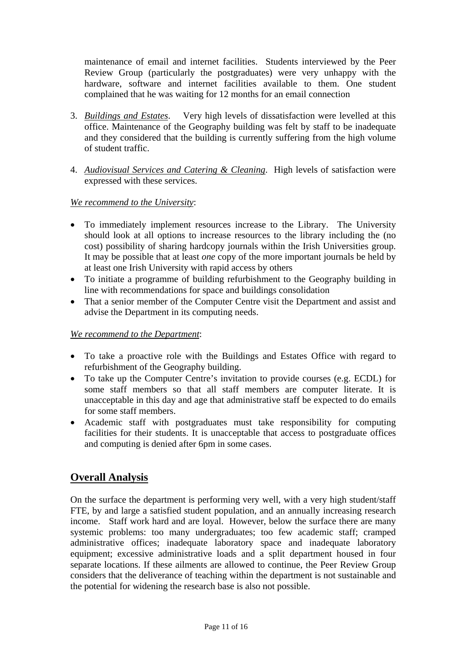maintenance of email and internet facilities. Students interviewed by the Peer Review Group (particularly the postgraduates) were very unhappy with the hardware, software and internet facilities available to them. One student complained that he was waiting for 12 months for an email connection

- 3. *Buildings and Estates*. Very high levels of dissatisfaction were levelled at this office. Maintenance of the Geography building was felt by staff to be inadequate and they considered that the building is currently suffering from the high volume of student traffic.
- 4. *Audiovisual Services and Catering & Cleaning*. High levels of satisfaction were expressed with these services.

#### *We recommend to the University*:

- To immediately implement resources increase to the Library. The University should look at all options to increase resources to the library including the (no cost) possibility of sharing hardcopy journals within the Irish Universities group. It may be possible that at least *one* copy of the more important journals be held by at least one Irish University with rapid access by others
- To initiate a programme of building refurbishment to the Geography building in line with recommendations for space and buildings consolidation
- That a senior member of the Computer Centre visit the Department and assist and advise the Department in its computing needs.

#### *We recommend to the Department*:

- To take a proactive role with the Buildings and Estates Office with regard to refurbishment of the Geography building.
- To take up the Computer Centre's invitation to provide courses (e.g. ECDL) for some staff members so that all staff members are computer literate. It is unacceptable in this day and age that administrative staff be expected to do emails for some staff members.
- Academic staff with postgraduates must take responsibility for computing facilities for their students. It is unacceptable that access to postgraduate offices and computing is denied after 6pm in some cases.

## **Overall Analysis**

On the surface the department is performing very well, with a very high student/staff FTE, by and large a satisfied student population, and an annually increasing research income. Staff work hard and are loyal. However, below the surface there are many systemic problems: too many undergraduates; too few academic staff; cramped administrative offices; inadequate laboratory space and inadequate laboratory equipment; excessive administrative loads and a split department housed in four separate locations. If these ailments are allowed to continue, the Peer Review Group considers that the deliverance of teaching within the department is not sustainable and the potential for widening the research base is also not possible.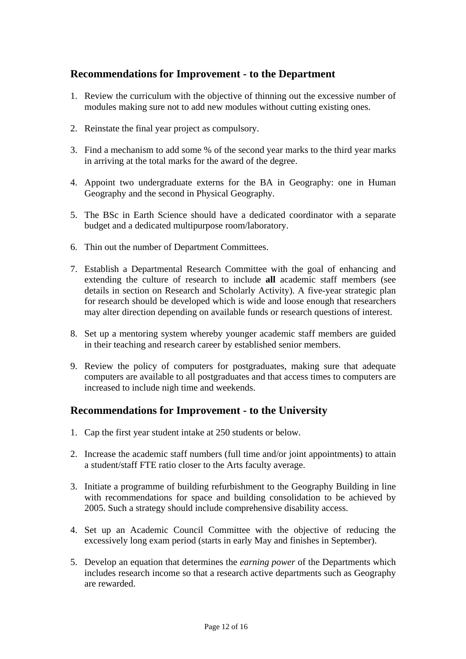## **Recommendations for Improvement - to the Department**

- 1. Review the curriculum with the objective of thinning out the excessive number of modules making sure not to add new modules without cutting existing ones.
- 2. Reinstate the final year project as compulsory.
- 3. Find a mechanism to add some % of the second year marks to the third year marks in arriving at the total marks for the award of the degree.
- 4. Appoint two undergraduate externs for the BA in Geography: one in Human Geography and the second in Physical Geography.
- 5. The BSc in Earth Science should have a dedicated coordinator with a separate budget and a dedicated multipurpose room/laboratory.
- 6. Thin out the number of Department Committees.
- 7. Establish a Departmental Research Committee with the goal of enhancing and extending the culture of research to include **all** academic staff members (see details in section on Research and Scholarly Activity). A five-year strategic plan for research should be developed which is wide and loose enough that researchers may alter direction depending on available funds or research questions of interest.
- 8. Set up a mentoring system whereby younger academic staff members are guided in their teaching and research career by established senior members.
- 9. Review the policy of computers for postgraduates, making sure that adequate computers are available to all postgraduates and that access times to computers are increased to include nigh time and weekends.

## **Recommendations for Improvement - to the University**

- 1. Cap the first year student intake at 250 students or below.
- 2. Increase the academic staff numbers (full time and/or joint appointments) to attain a student/staff FTE ratio closer to the Arts faculty average.
- 3. Initiate a programme of building refurbishment to the Geography Building in line with recommendations for space and building consolidation to be achieved by 2005. Such a strategy should include comprehensive disability access.
- 4. Set up an Academic Council Committee with the objective of reducing the excessively long exam period (starts in early May and finishes in September).
- 5. Develop an equation that determines the *earning power* of the Departments which includes research income so that a research active departments such as Geography are rewarded.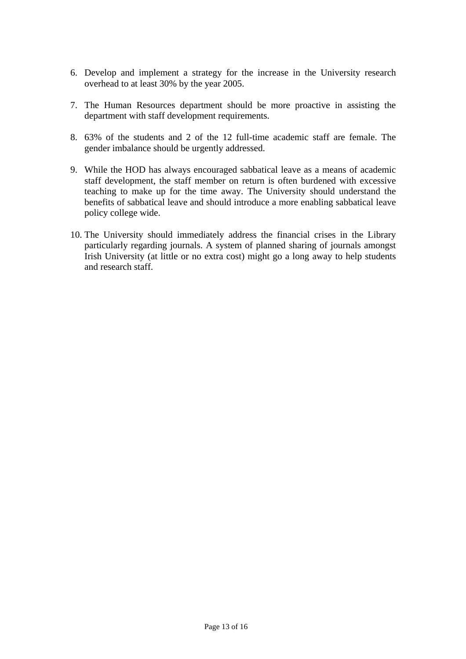- 6. Develop and implement a strategy for the increase in the University research overhead to at least 30% by the year 2005.
- 7. The Human Resources department should be more proactive in assisting the department with staff development requirements.
- 8. 63% of the students and 2 of the 12 full-time academic staff are female. The gender imbalance should be urgently addressed.
- 9. While the HOD has always encouraged sabbatical leave as a means of academic staff development, the staff member on return is often burdened with excessive teaching to make up for the time away. The University should understand the benefits of sabbatical leave and should introduce a more enabling sabbatical leave policy college wide.
- 10. The University should immediately address the financial crises in the Library particularly regarding journals. A system of planned sharing of journals amongst Irish University (at little or no extra cost) might go a long away to help students and research staff.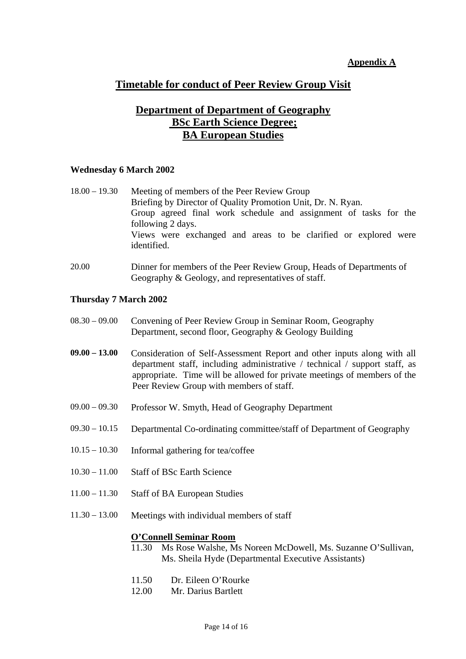#### **Appendix A**

## **Timetable for conduct of Peer Review Group Visit**

## **Department of Department of Geography BSc Earth Science Degree; BA European Studies**

#### **Wednesday 6 March 2002**

| $18.00 - 19.30$ | Meeting of members of the Peer Review Group                                    |
|-----------------|--------------------------------------------------------------------------------|
|                 | Briefing by Director of Quality Promotion Unit, Dr. N. Ryan.                   |
|                 | Group agreed final work schedule and assignment of tasks for the               |
|                 | following 2 days.                                                              |
|                 | Views were exchanged and areas to be clarified or explored were<br>identified. |

20.00 Dinner for members of the Peer Review Group, Heads of Departments of Geography & Geology, and representatives of staff.

#### **Thursday 7 March 2002**

- 08.30 09.00 Convening of Peer Review Group in Seminar Room, Geography Department, second floor, Geography & Geology Building
- **09.00 13.00** Consideration of Self-Assessment Report and other inputs along with all department staff, including administrative / technical / support staff, as appropriate. Time will be allowed for private meetings of members of the Peer Review Group with members of staff.
- 09.00 09.30 Professor W. Smyth, Head of Geography Department
- 09.30 10.15 Departmental Co-ordinating committee/staff of Department of Geography
- 10.15 10.30 Informal gathering for tea/coffee
- 10.30 11.00 Staff of BSc Earth Science
- 11.00 11.30 Staff of BA European Studies
- 11.30 13.00 Meetings with individual members of staff

#### **O'Connell Seminar Room**

- 11.30 Ms Rose Walshe, Ms Noreen McDowell, Ms. Suzanne O'Sullivan, Ms. Sheila Hyde (Departmental Executive Assistants)
- 11.50 Dr. Eileen O'Rourke
- 12.00 Mr. Darius Bartlett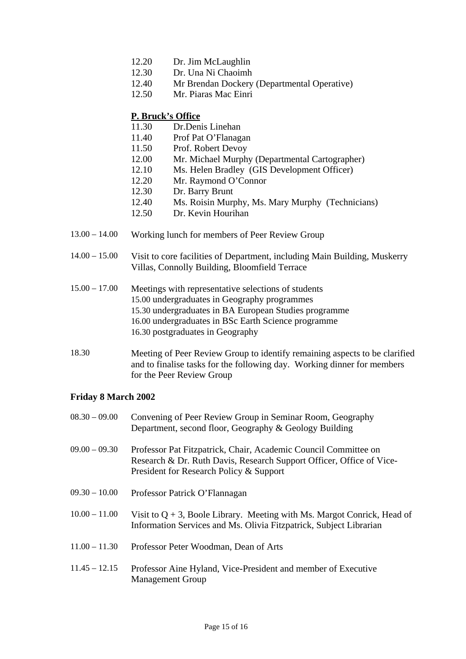- 12.20 Dr. Jim McLaughlin
- 12.30 Dr. Una Ni Chaoimh
- 12.40 Mr Brendan Dockery (Departmental Operative)
- 12.50 Mr. Piaras Mac Einri

### **P. Bruck's Office**

- 11.30 Dr.Denis Linehan
- 11.40 Prof Pat O'Flanagan
- 11.50 Prof. Robert Devoy
- 12.00 Mr. Michael Murphy (Departmental Cartographer)
- 12.10 Ms. Helen Bradley (GIS Development Officer)
- 12.20 Mr. Raymond O'Connor
- 12.30 Dr. Barry Brunt
- 12.40 Ms. Roisin Murphy, Ms. Mary Murphy (Technicians)
- 12.50 Dr. Kevin Hourihan
- 13.00 14.00 Working lunch for members of Peer Review Group
- 14.00 15.00 Visit to core facilities of Department, including Main Building, Muskerry Villas, Connolly Building, Bloomfield Terrace
- 15.00 17.00 Meetings with representative selections of students 15.00 undergraduates in Geography programmes 15.30 undergraduates in BA European Studies programme 16.00 undergraduates in BSc Earth Science programme 16.30 postgraduates in Geography
- 18.30 Meeting of Peer Review Group to identify remaining aspects to be clarified and to finalise tasks for the following day. Working dinner for members for the Peer Review Group

### **Friday 8 March 2002**

08.30 – 09.00 Convening of Peer Review Group in Seminar Room, Geography Department, second floor, Geography & Geology Building 09.00 – 09.30 Professor Pat Fitzpatrick, Chair, Academic Council Committee on Research & Dr. Ruth Davis, Research Support Officer, Office of Vice-President for Research Policy & Support 09.30 – 10.00 Professor Patrick O'Flannagan  $10.00 - 11.00$  Visit to Q + 3, Boole Library. Meeting with Ms. Margot Conrick, Head of Information Services and Ms. Olivia Fitzpatrick, Subject Librarian 11.00 – 11.30 Professor Peter Woodman, Dean of Arts 11.45 – 12.15 Professor Aine Hyland, Vice-President and member of Executive Management Group